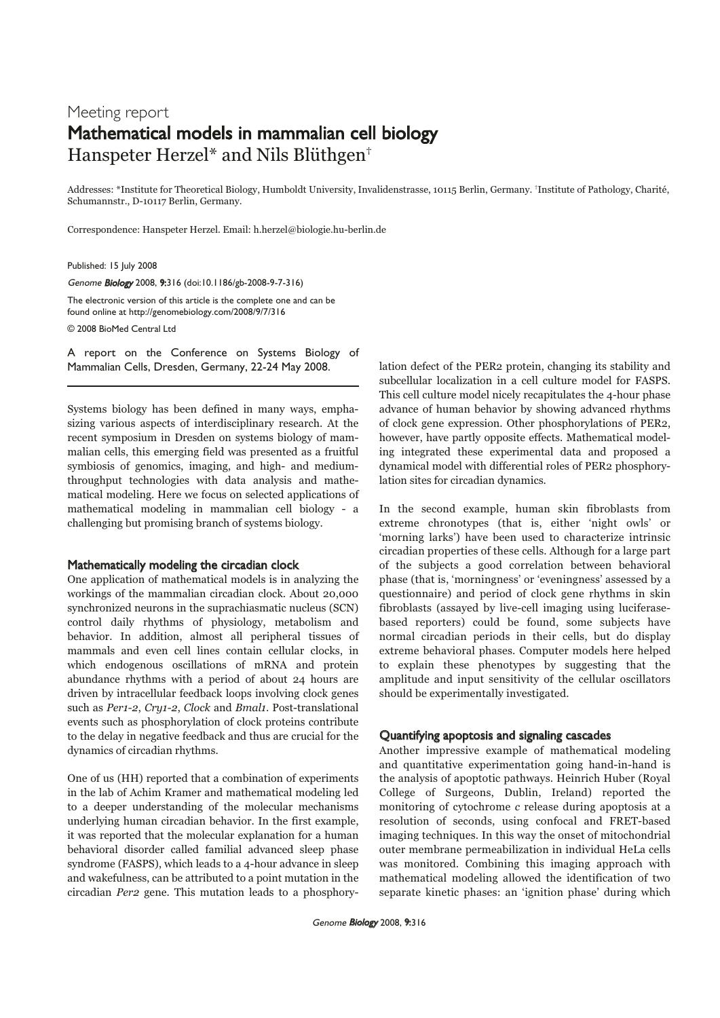# Meeting report Mathematical models in mammalian cell biology Hanspeter Herzel\* and Nils Blüthgen†

Addresses: \*Institute for Theoretical Biology, Humboldt University, Invalidenstrasse, 10115 Berlin, Germany. †Institute of Pathology, Charité, Schumannstr., D-10117 Berlin, Germany.

Correspondence: Hanspeter Herzel. Email: h.herzel@biologie.hu-berlin.de

Published: 15 July 2008

Genome Biology 2008, 9:316 (doi:10.1186/gb-2008-9-7-316)

The electronic version of this article is the complete one and can be found online at http://genomebiology.com/2008/9/7/316

© 2008 BioMed Central Ltd

A report on the Conference on Systems Biology of Mammalian Cells, Dresden, Germany, 22-24 May 2008.

Systems biology has been defined in many ways, emphasizing various aspects of interdisciplinary research. At the recent symposium in Dresden on systems biology of mammalian cells, this emerging field was presented as a fruitful symbiosis of genomics, imaging, and high- and mediumthroughput technologies with data analysis and mathematical modeling. Here we focus on selected applications of mathematical modeling in mammalian cell biology - a challenging but promising branch of systems biology.

## Mathematically modeling the circadian clock

One application of mathematical models is in analyzing the workings of the mammalian circadian clock. About 20,000 synchronized neurons in the suprachiasmatic nucleus (SCN) control daily rhythms of physiology, metabolism and behavior. In addition, almost all peripheral tissues of mammals and even cell lines contain cellular clocks, in which endogenous oscillations of mRNA and protein abundance rhythms with a period of about 24 hours are driven by intracellular feedback loops involving clock genes such as Per1-2, Cry1-2, Clock and Bmal1. Post-translational events such as phosphorylation of clock proteins contribute to the delay in negative feedback and thus are crucial for the dynamics of circadian rhythms.

One of us (HH) reported that a combination of experiments in the lab of Achim Kramer and mathematical modeling led to a deeper understanding of the molecular mechanisms underlying human circadian behavior. In the first example, it was reported that the molecular explanation for a human behavioral disorder called familial advanced sleep phase syndrome (FASPS), which leads to a 4-hour advance in sleep and wakefulness, can be attributed to a point mutation in the circadian Per2 gene. This mutation leads to a phosphorylation defect of the PER2 protein, changing its stability and subcellular localization in a cell culture model for FASPS. This cell culture model nicely recapitulates the 4-hour phase advance of human behavior by showing advanced rhythms of clock gene expression. Other phosphorylations of PER2, however, have partly opposite effects. Mathematical modeling integrated these experimental data and proposed a dynamical model with differential roles of PER2 phosphorylation sites for circadian dynamics.

In the second example, human skin fibroblasts from extreme chronotypes (that is, either 'night owls' or 'morning larks') have been used to characterize intrinsic circadian properties of these cells. Although for a large part of the subjects a good correlation between behavioral phase (that is, 'morningness' or 'eveningness' assessed by a questionnaire) and period of clock gene rhythms in skin fibroblasts (assayed by live-cell imaging using luciferasebased reporters) could be found, some subjects have normal circadian periods in their cells, but do display extreme behavioral phases. Computer models here helped to explain these phenotypes by suggesting that the amplitude and input sensitivity of the cellular oscillators should be experimentally investigated.

## Quantifying apoptosis and signaling cascades

Another impressive example of mathematical modeling and quantitative experimentation going hand-in-hand is the analysis of apoptotic pathways. Heinrich Huber (Royal College of Surgeons, Dublin, Ireland) reported the monitoring of cytochrome c release during apoptosis at a resolution of seconds, using confocal and FRET-based imaging techniques. In this way the onset of mitochondrial outer membrane permeabilization in individual HeLa cells was monitored. Combining this imaging approach with mathematical modeling allowed the identification of two separate kinetic phases: an 'ignition phase' during which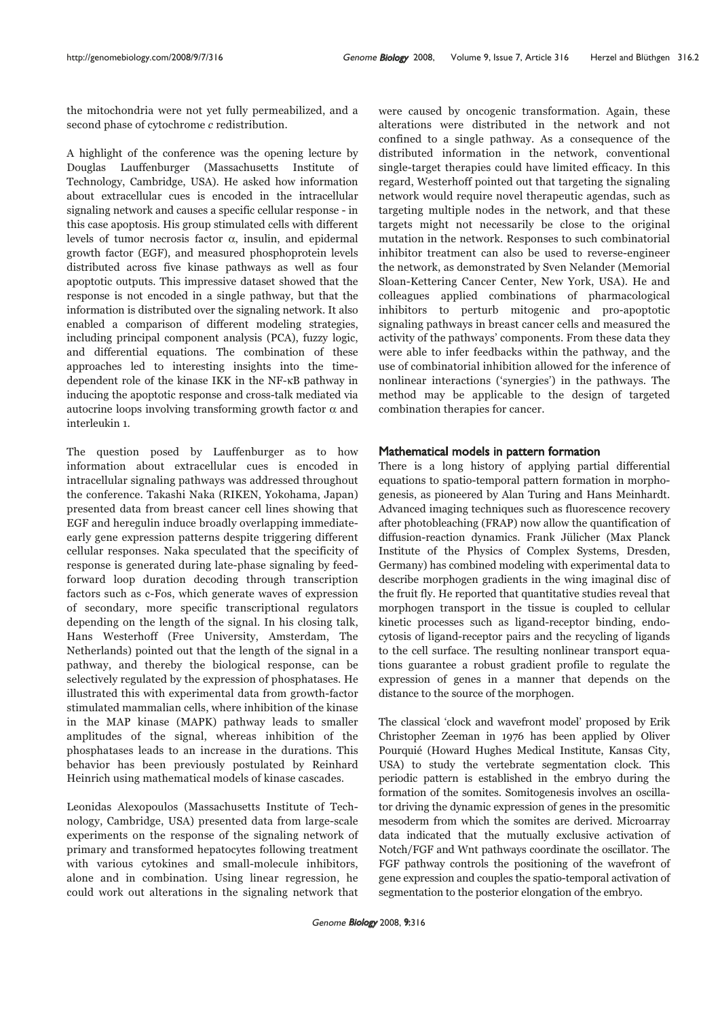the mitochondria were not yet fully permeabilized, and a second phase of cytochrome c redistribution.

A highlight of the conference was the opening lecture by Douglas Lauffenburger (Massachusetts Institute of Technology, Cambridge, USA). He asked how information about extracellular cues is encoded in the intracellular signaling network and causes a specific cellular response - in this case apoptosis. His group stimulated cells with different levels of tumor necrosis factor α, insulin, and epidermal growth factor (EGF), and measured phosphoprotein levels distributed across five kinase pathways as well as four apoptotic outputs. This impressive dataset showed that the response is not encoded in a single pathway, but that the information is distributed over the signaling network. It also enabled a comparison of different modeling strategies, including principal component analysis (PCA), fuzzy logic, and differential equations. The combination of these approaches led to interesting insights into the timedependent role of the kinase IKK in the NF-κB pathway in inducing the apoptotic response and cross-talk mediated via autocrine loops involving transforming growth factor  $\alpha$  and interleukin 1.

The question posed by Lauffenburger as to how information about extracellular cues is encoded in intracellular signaling pathways was addressed throughout the conference. Takashi Naka (RIKEN, Yokohama, Japan) presented data from breast cancer cell lines showing that EGF and heregulin induce broadly overlapping immediateearly gene expression patterns despite triggering different cellular responses. Naka speculated that the specificity of response is generated during late-phase signaling by feedforward loop duration decoding through transcription factors such as c-Fos, which generate waves of expression of secondary, more specific transcriptional regulators depending on the length of the signal. In his closing talk, Hans Westerhoff (Free University, Amsterdam, The Netherlands) pointed out that the length of the signal in a pathway, and thereby the biological response, can be selectively regulated by the expression of phosphatases. He illustrated this with experimental data from growth-factor stimulated mammalian cells, where inhibition of the kinase in the MAP kinase (MAPK) pathway leads to smaller amplitudes of the signal, whereas inhibition of the phosphatases leads to an increase in the durations. This behavior has been previously postulated by Reinhard Heinrich using mathematical models of kinase cascades.

Leonidas Alexopoulos (Massachusetts Institute of Technology, Cambridge, USA) presented data from large-scale experiments on the response of the signaling network of primary and transformed hepatocytes following treatment with various cytokines and small-molecule inhibitors, alone and in combination. Using linear regression, he could work out alterations in the signaling network that were caused by oncogenic transformation. Again, these alterations were distributed in the network and not confined to a single pathway. As a consequence of the distributed information in the network, conventional single-target therapies could have limited efficacy. In this regard, Westerhoff pointed out that targeting the signaling network would require novel therapeutic agendas, such as targeting multiple nodes in the network, and that these targets might not necessarily be close to the original mutation in the network. Responses to such combinatorial inhibitor treatment can also be used to reverse-engineer the network, as demonstrated by Sven Nelander (Memorial Sloan-Kettering Cancer Center, New York, USA). He and colleagues applied combinations of pharmacological inhibitors to perturb mitogenic and pro-apoptotic signaling pathways in breast cancer cells and measured the activity of the pathways' components. From these data they were able to infer feedbacks within the pathway, and the use of combinatorial inhibition allowed for the inference of nonlinear interactions ('synergies') in the pathways. The method may be applicable to the design of targeted combination therapies for cancer.

#### Mathematical models in pattern formation

There is a long history of applying partial differential equations to spatio-temporal pattern formation in morphogenesis, as pioneered by Alan Turing and Hans Meinhardt. Advanced imaging techniques such as fluorescence recovery after photobleaching (FRAP) now allow the quantification of diffusion-reaction dynamics. Frank Jülicher (Max Planck Institute of the Physics of Complex Systems, Dresden, Germany) has combined modeling with experimental data to describe morphogen gradients in the wing imaginal disc of the fruit fly. He reported that quantitative studies reveal that morphogen transport in the tissue is coupled to cellular kinetic processes such as ligand-receptor binding, endocytosis of ligand-receptor pairs and the recycling of ligands to the cell surface. The resulting nonlinear transport equations guarantee a robust gradient profile to regulate the expression of genes in a manner that depends on the distance to the source of the morphogen.

The classical 'clock and wavefront model' proposed by Erik Christopher Zeeman in 1976 has been applied by Oliver Pourquié (Howard Hughes Medical Institute, Kansas City, USA) to study the vertebrate segmentation clock. This periodic pattern is established in the embryo during the formation of the somites. Somitogenesis involves an oscillator driving the dynamic expression of genes in the presomitic mesoderm from which the somites are derived. Microarray data indicated that the mutually exclusive activation of Notch/FGF and Wnt pathways coordinate the oscillator. The FGF pathway controls the positioning of the wavefront of gene expression and couples the spatio-temporal activation of segmentation to the posterior elongation of the embryo.